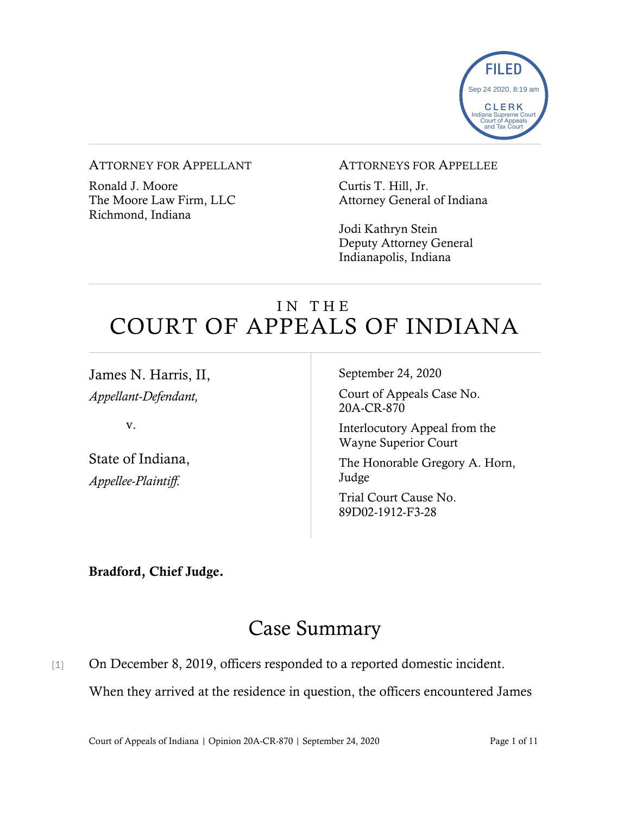

#### ATTORNEY FOR APPELLANT

Ronald J. Moore The Moore Law Firm, LLC Richmond, Indiana

ATTORNEYS FOR APPELLEE

Curtis T. Hill, Jr. Attorney General of Indiana

Jodi Kathryn Stein Deputy Attorney General Indianapolis, Indiana

# IN THE COURT OF APPEALS OF INDIANA

James N. Harris, II, *Appellant-Defendant,*

v.

State of Indiana, *Appellee-Plaintiff.*

September 24, 2020

Court of Appeals Case No. 20A-CR-870

Interlocutory Appeal from the Wayne Superior Court

The Honorable Gregory A. Horn, Judge

Trial Court Cause No. 89D02-1912-F3-28

Bradford, Chief Judge.

# Case Summary

[1] On December 8, 2019, officers responded to a reported domestic incident. When they arrived at the residence in question, the officers encountered James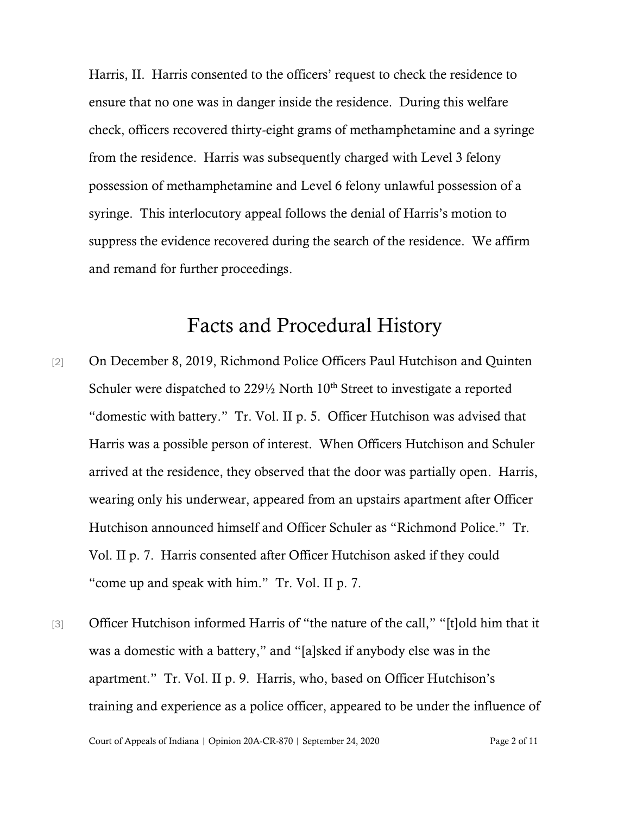Harris, II. Harris consented to the officers' request to check the residence to ensure that no one was in danger inside the residence. During this welfare check, officers recovered thirty-eight grams of methamphetamine and a syringe from the residence. Harris was subsequently charged with Level 3 felony possession of methamphetamine and Level 6 felony unlawful possession of a syringe. This interlocutory appeal follows the denial of Harris's motion to suppress the evidence recovered during the search of the residence. We affirm and remand for further proceedings.

## Facts and Procedural History

- [2] On December 8, 2019, Richmond Police Officers Paul Hutchison and Quinten Schuler were dispatched to  $229\frac{1}{2}$  North  $10<sup>th</sup>$  Street to investigate a reported "domestic with battery." Tr. Vol. II p. 5. Officer Hutchison was advised that Harris was a possible person of interest. When Officers Hutchison and Schuler arrived at the residence, they observed that the door was partially open. Harris, wearing only his underwear, appeared from an upstairs apartment after Officer Hutchison announced himself and Officer Schuler as "Richmond Police." Tr. Vol. II p. 7. Harris consented after Officer Hutchison asked if they could "come up and speak with him." Tr. Vol. II p. 7.
- [3] Officer Hutchison informed Harris of "the nature of the call," "[t]old him that it was a domestic with a battery," and "[a]sked if anybody else was in the apartment." Tr. Vol. II p. 9. Harris, who, based on Officer Hutchison's training and experience as a police officer, appeared to be under the influence of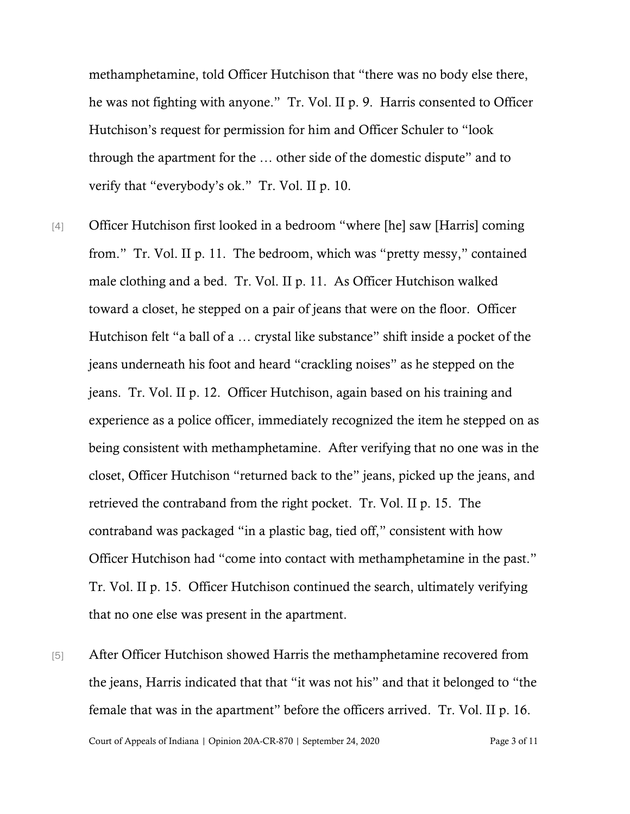methamphetamine, told Officer Hutchison that "there was no body else there, he was not fighting with anyone." Tr. Vol. II p. 9. Harris consented to Officer Hutchison's request for permission for him and Officer Schuler to "look through the apartment for the … other side of the domestic dispute" and to verify that "everybody's ok." Tr. Vol. II p. 10.

- [4] Officer Hutchison first looked in a bedroom "where [he] saw [Harris] coming from." Tr. Vol. II p. 11. The bedroom, which was "pretty messy," contained male clothing and a bed. Tr. Vol. II p. 11. As Officer Hutchison walked toward a closet, he stepped on a pair of jeans that were on the floor. Officer Hutchison felt "a ball of a … crystal like substance" shift inside a pocket of the jeans underneath his foot and heard "crackling noises" as he stepped on the jeans. Tr. Vol. II p. 12. Officer Hutchison, again based on his training and experience as a police officer, immediately recognized the item he stepped on as being consistent with methamphetamine. After verifying that no one was in the closet, Officer Hutchison "returned back to the" jeans, picked up the jeans, and retrieved the contraband from the right pocket. Tr. Vol. II p. 15. The contraband was packaged "in a plastic bag, tied off," consistent with how Officer Hutchison had "come into contact with methamphetamine in the past." Tr. Vol. II p. 15. Officer Hutchison continued the search, ultimately verifying that no one else was present in the apartment.
- [5] After Officer Hutchison showed Harris the methamphetamine recovered from the jeans, Harris indicated that that "it was not his" and that it belonged to "the female that was in the apartment" before the officers arrived. Tr. Vol. II p. 16.

Court of Appeals of Indiana | Opinion 20A-CR-870 | September 24, 2020 Page 3 of 11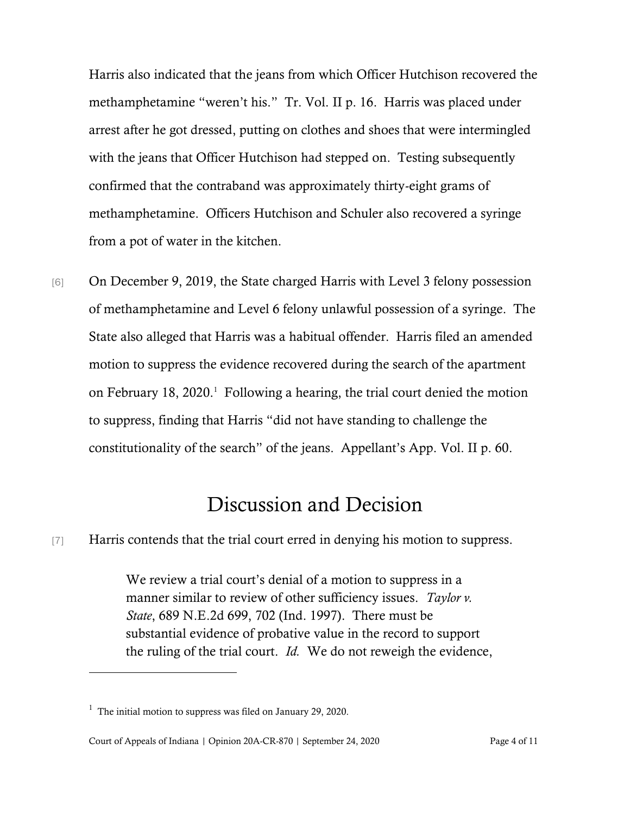Harris also indicated that the jeans from which Officer Hutchison recovered the methamphetamine "weren't his." Tr. Vol. II p. 16. Harris was placed under arrest after he got dressed, putting on clothes and shoes that were intermingled with the jeans that Officer Hutchison had stepped on. Testing subsequently confirmed that the contraband was approximately thirty-eight grams of methamphetamine. Officers Hutchison and Schuler also recovered a syringe from a pot of water in the kitchen.

[6] On December 9, 2019, the State charged Harris with Level 3 felony possession of methamphetamine and Level 6 felony unlawful possession of a syringe. The State also alleged that Harris was a habitual offender. Harris filed an amended motion to suppress the evidence recovered during the search of the apartment on February 18, 2020.<sup>1</sup> Following a hearing, the trial court denied the motion to suppress, finding that Harris "did not have standing to challenge the constitutionality of the search" of the jeans. Appellant's App. Vol. II p. 60.

## Discussion and Decision

[7] Harris contends that the trial court erred in denying his motion to suppress.

We review a trial court's denial of a motion to suppress in a manner similar to review of other sufficiency issues. *Taylor v. State*, 689 N.E.2d 699, 702 (Ind. 1997). There must be substantial evidence of probative value in the record to support the ruling of the trial court. *Id.* We do not reweigh the evidence,

<sup>&</sup>lt;sup>1</sup> The initial motion to suppress was filed on January 29, 2020.

Court of Appeals of Indiana | Opinion 20A-CR-870 | September 24, 2020 Page 4 of 11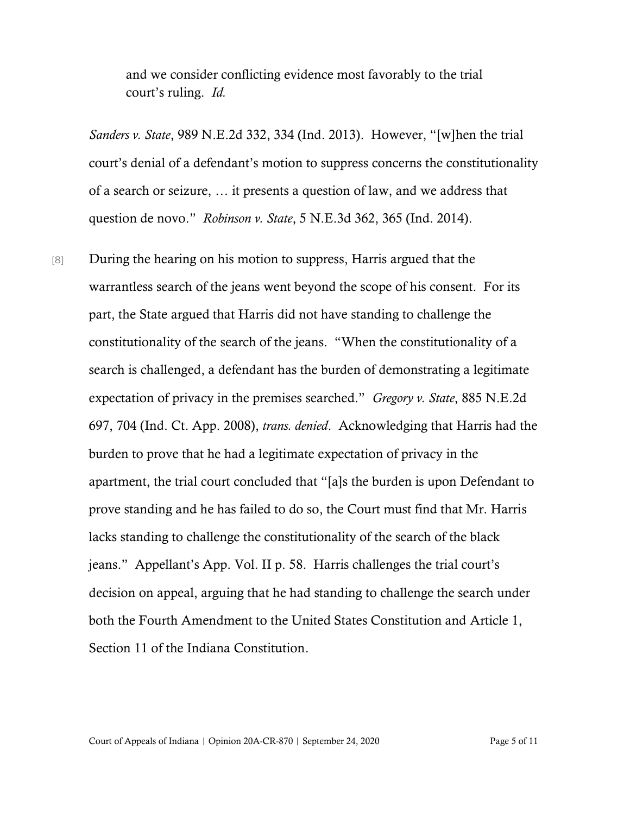and we consider conflicting evidence most favorably to the trial court's ruling. *Id.*

*Sanders v. State*, 989 N.E.2d 332, 334 (Ind. 2013). However, "[w]hen the trial court's denial of a defendant's motion to suppress concerns the constitutionality of a search or seizure, … it presents a question of law, and we address that question de novo." *Robinson v. State*, 5 N.E.3d 362, 365 (Ind. 2014).

[8] During the hearing on his motion to suppress, Harris argued that the warrantless search of the jeans went beyond the scope of his consent. For its part, the State argued that Harris did not have standing to challenge the constitutionality of the search of the jeans. "When the constitutionality of a search is challenged, a defendant has the burden of demonstrating a legitimate expectation of privacy in the premises searched." *Gregory v. State*, 885 N.E.2d 697, 704 (Ind. Ct. App. 2008), *trans. denied*. Acknowledging that Harris had the burden to prove that he had a legitimate expectation of privacy in the apartment, the trial court concluded that "[a]s the burden is upon Defendant to prove standing and he has failed to do so, the Court must find that Mr. Harris lacks standing to challenge the constitutionality of the search of the black jeans." Appellant's App. Vol. II p. 58. Harris challenges the trial court's decision on appeal, arguing that he had standing to challenge the search under both the Fourth Amendment to the United States Constitution and Article 1, Section 11 of the Indiana Constitution.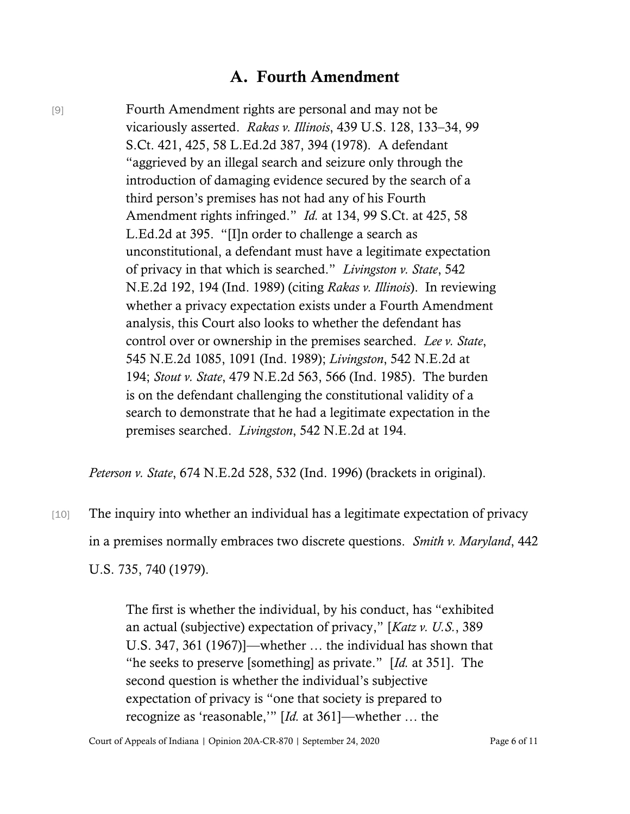### A. Fourth Amendment

[9] Fourth Amendment rights are personal and may not be vicariously asserted. *Rakas v. Illinois*, 439 U.S. 128, 133–34, 99 S.Ct. 421, 425, 58 L.Ed.2d 387, 394 (1978). A defendant "aggrieved by an illegal search and seizure only through the introduction of damaging evidence secured by the search of a third person's premises has not had any of his Fourth Amendment rights infringed." *Id.* at 134, 99 S.Ct. at 425, 58 L.Ed.2d at 395. "[I]n order to challenge a search as unconstitutional, a defendant must have a legitimate expectation of privacy in that which is searched." *Livingston v. State*, 542 N.E.2d 192, 194 (Ind. 1989) (citing *Rakas v. Illinois*). In reviewing whether a privacy expectation exists under a Fourth Amendment analysis, this Court also looks to whether the defendant has control over or ownership in the premises searched. *Lee v. State*, 545 N.E.2d 1085, 1091 (Ind. 1989); *Livingston*, 542 N.E.2d at 194; *Stout v. State*, 479 N.E.2d 563, 566 (Ind. 1985). The burden is on the defendant challenging the constitutional validity of a search to demonstrate that he had a legitimate expectation in the premises searched. *Livingston*, 542 N.E.2d at 194.

*Peterson v. State*, 674 N.E.2d 528, 532 (Ind. 1996) (brackets in original).

[10] The inquiry into whether an individual has a legitimate expectation of privacy in a premises normally embraces two discrete questions. *Smith v. Maryland*, 442 U.S. 735, 740 (1979).

> The first is whether the individual, by his conduct, has "exhibited an actual (subjective) expectation of privacy," [*Katz v. U.S.*, 389 U.S. 347, 361 (1967)]—whether … the individual has shown that "he seeks to preserve [something] as private." [*Id.* at 351]. The second question is whether the individual's subjective expectation of privacy is "one that society is prepared to recognize as 'reasonable,'" [*Id.* at 361]—whether … the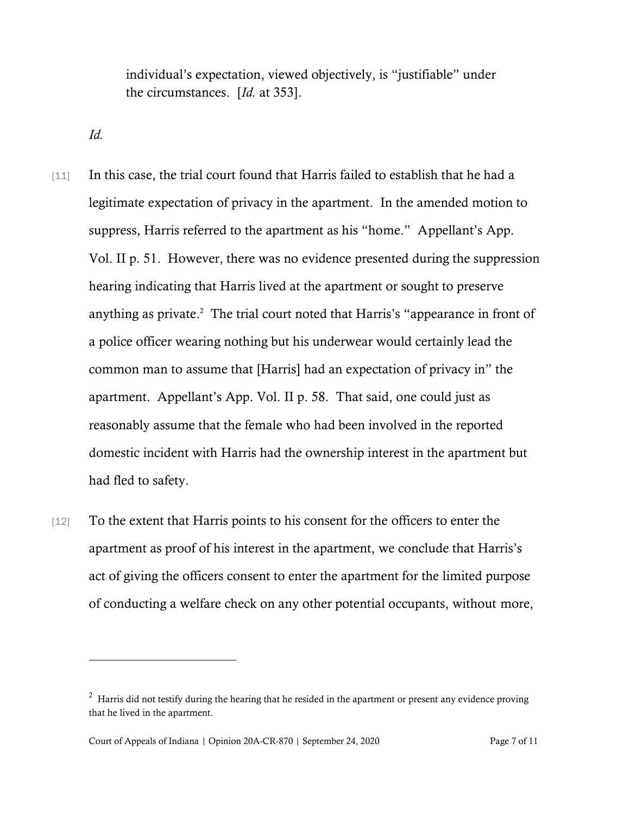individual's expectation, viewed objectively, is "justifiable" under the circumstances. [*Id.* at 353].

*Id.*

- [11] In this case, the trial court found that Harris failed to establish that he had a legitimate expectation of privacy in the apartment. In the amended motion to suppress, Harris referred to the apartment as his "home." Appellant's App. Vol. II p. 51. However, there was no evidence presented during the suppression hearing indicating that Harris lived at the apartment or sought to preserve anything as private.<sup>2</sup> The trial court noted that Harris's "appearance in front of a police officer wearing nothing but his underwear would certainly lead the common man to assume that [Harris] had an expectation of privacy in" the apartment. Appellant's App. Vol. II p. 58. That said, one could just as reasonably assume that the female who had been involved in the reported domestic incident with Harris had the ownership interest in the apartment but had fled to safety.
- [12] To the extent that Harris points to his consent for the officers to enter the apartment as proof of his interest in the apartment, we conclude that Harris's act of giving the officers consent to enter the apartment for the limited purpose of conducting a welfare check on any other potential occupants, without more,

 $2$  Harris did not testify during the hearing that he resided in the apartment or present any evidence proving that he lived in the apartment.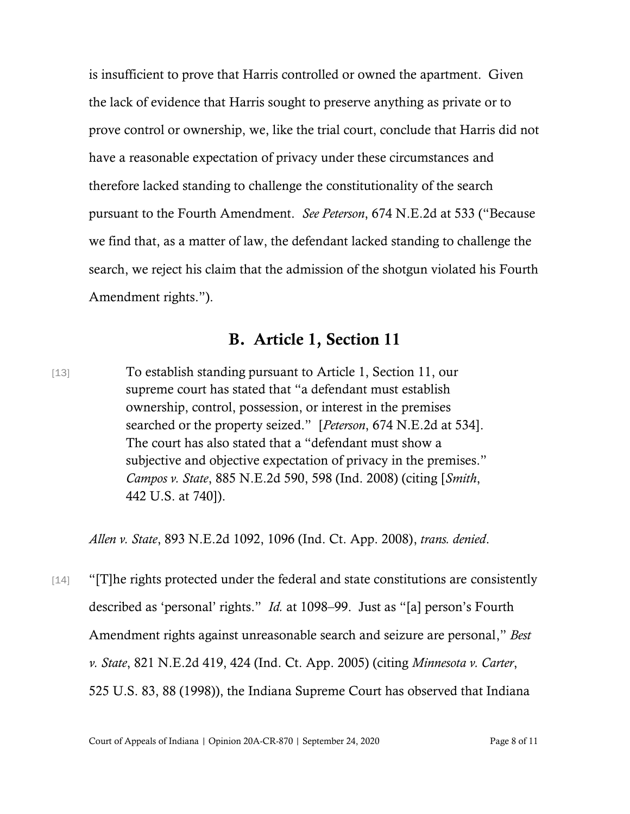is insufficient to prove that Harris controlled or owned the apartment. Given the lack of evidence that Harris sought to preserve anything as private or to prove control or ownership, we, like the trial court, conclude that Harris did not have a reasonable expectation of privacy under these circumstances and therefore lacked standing to challenge the constitutionality of the search pursuant to the Fourth Amendment. *See Peterson*, 674 N.E.2d at 533 ("Because we find that, as a matter of law, the defendant lacked standing to challenge the search, we reject his claim that the admission of the shotgun violated his Fourth Amendment rights.").

### B. Article 1, Section 11

[13] To establish standing pursuant to Article 1, Section 11, our supreme court has stated that "a defendant must establish ownership, control, possession, or interest in the premises searched or the property seized." [*Peterson*, 674 N.E.2d at 534]. The court has also stated that a "defendant must show a subjective and objective expectation of privacy in the premises." *Campos v. State*, 885 N.E.2d 590, 598 (Ind. 2008) (citing [*Smith*, 442 U.S. at 740]).

*Allen v. State*, 893 N.E.2d 1092, 1096 (Ind. Ct. App. 2008), *trans. denied*.

[14] "[T]he rights protected under the federal and state constitutions are consistently described as 'personal' rights." *Id.* at 1098–99. Just as "[a] person's Fourth Amendment rights against unreasonable search and seizure are personal," *Best v. State*, 821 N.E.2d 419, 424 (Ind. Ct. App. 2005) (citing *Minnesota v. Carter*, 525 U.S. 83, 88 (1998)), the Indiana Supreme Court has observed that Indiana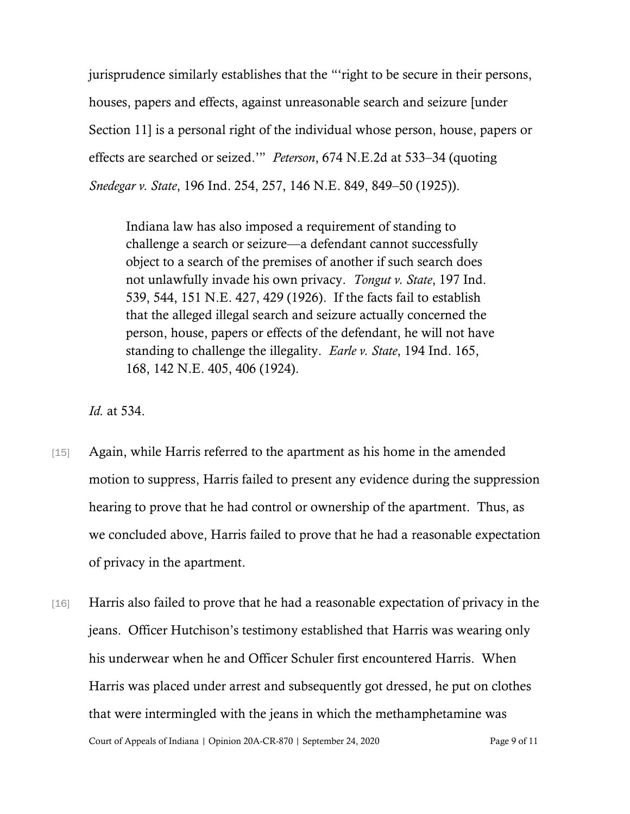jurisprudence similarly establishes that the "'right to be secure in their persons, houses, papers and effects, against unreasonable search and seizure [under Section 11] is a personal right of the individual whose person, house, papers or effects are searched or seized.'" *Peterson*, 674 N.E.2d at 533–34 (quoting *Snedegar v. State*, 196 Ind. 254, 257, 146 N.E. 849, 849–50 (1925)).

Indiana law has also imposed a requirement of standing to challenge a search or seizure—a defendant cannot successfully object to a search of the premises of another if such search does not unlawfully invade his own privacy. *Tongut v. State*, 197 Ind. 539, 544, 151 N.E. 427, 429 (1926). If the facts fail to establish that the alleged illegal search and seizure actually concerned the person, house, papers or effects of the defendant, he will not have standing to challenge the illegality. *Earle v. State*, 194 Ind. 165, 168, 142 N.E. 405, 406 (1924).

*Id.* at 534.

- [15] Again, while Harris referred to the apartment as his home in the amended motion to suppress, Harris failed to present any evidence during the suppression hearing to prove that he had control or ownership of the apartment. Thus, as we concluded above, Harris failed to prove that he had a reasonable expectation of privacy in the apartment.
- Court of Appeals of Indiana | Opinion 20A-CR-870 | September 24, 2020 Page 9 of 11 [16] Harris also failed to prove that he had a reasonable expectation of privacy in the jeans. Officer Hutchison's testimony established that Harris was wearing only his underwear when he and Officer Schuler first encountered Harris. When Harris was placed under arrest and subsequently got dressed, he put on clothes that were intermingled with the jeans in which the methamphetamine was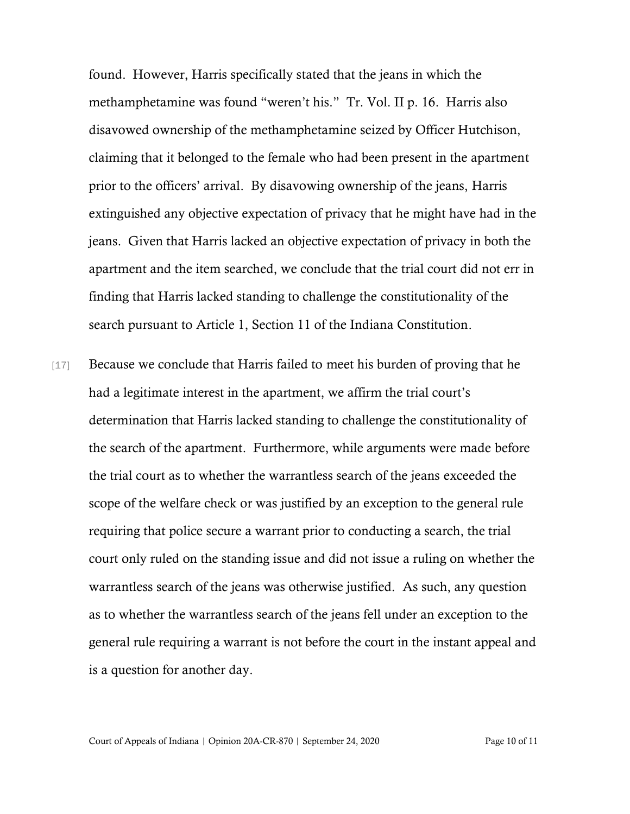found. However, Harris specifically stated that the jeans in which the methamphetamine was found "weren't his." Tr. Vol. II p. 16. Harris also disavowed ownership of the methamphetamine seized by Officer Hutchison, claiming that it belonged to the female who had been present in the apartment prior to the officers' arrival. By disavowing ownership of the jeans, Harris extinguished any objective expectation of privacy that he might have had in the jeans. Given that Harris lacked an objective expectation of privacy in both the apartment and the item searched, we conclude that the trial court did not err in finding that Harris lacked standing to challenge the constitutionality of the search pursuant to Article 1, Section 11 of the Indiana Constitution.

[17] Because we conclude that Harris failed to meet his burden of proving that he had a legitimate interest in the apartment, we affirm the trial court's determination that Harris lacked standing to challenge the constitutionality of the search of the apartment. Furthermore, while arguments were made before the trial court as to whether the warrantless search of the jeans exceeded the scope of the welfare check or was justified by an exception to the general rule requiring that police secure a warrant prior to conducting a search, the trial court only ruled on the standing issue and did not issue a ruling on whether the warrantless search of the jeans was otherwise justified. As such, any question as to whether the warrantless search of the jeans fell under an exception to the general rule requiring a warrant is not before the court in the instant appeal and is a question for another day.